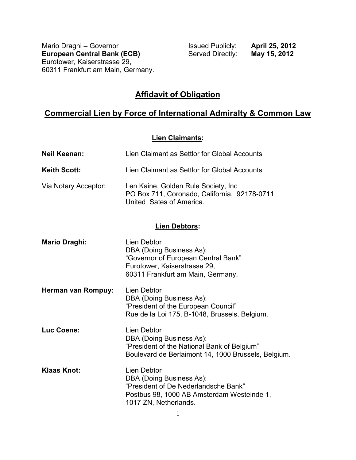Mario Draghi – Governor **Issued Publicly: April 25, 2012**<br> **European Central Bank (ECB)** Served Directly: **May 15, 2012 European Central Bank (ECB)** Eurotower, Kaiserstrasse 29, 60311 Frankfurt am Main, Germany.

# **Affidavit of Obligation**

# **Commercial Lien by Force of International Admiralty & Common Law**

#### **Lien Claimants:**

| <b>Neil Keenan:</b>  | Lien Claimant as Settlor for Global Accounts                                                                                                                  |  |
|----------------------|---------------------------------------------------------------------------------------------------------------------------------------------------------------|--|
| <b>Keith Scott:</b>  | Lien Claimant as Settlor for Global Accounts                                                                                                                  |  |
| Via Notary Acceptor: | Len Kaine, Golden Rule Society, Inc.<br>PO Box 711, Coronado, California, 92178-0711<br>United Sates of America.                                              |  |
| <b>Lien Debtors:</b> |                                                                                                                                                               |  |
| <b>Mario Draghi:</b> | <b>Lien Debtor</b><br>DBA (Doing Business As):<br>"Governor of European Central Bank"<br>Eurotower, Kaiserstrasse 29,<br>60311 Frankfurt am Main, Germany.    |  |
| Herman van Rompuy:   | Lien Debtor<br>DBA (Doing Business As):<br>"President of the European Council"<br>Rue de la Loi 175, B-1048, Brussels, Belgium.                               |  |
| Luc Coene:           | Lien Debtor<br>DBA (Doing Business As):<br>"President of the National Bank of Belgium"<br>Boulevard de Berlaimont 14, 1000 Brussels, Belgium.                 |  |
| <b>Klaas Knot:</b>   | <b>Lien Debtor</b><br>DBA (Doing Business As):<br>"President of De Nederlandsche Bank"<br>Postbus 98, 1000 AB Amsterdam Westeinde 1,<br>1017 ZN, Netherlands. |  |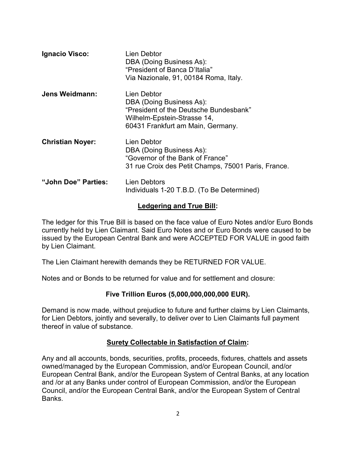| Ignacio Visco:          | Lien Debtor<br>DBA (Doing Business As):<br>"President of Banca D'Italia"<br>Via Nazionale, 91, 00184 Roma, Italy.                                     |
|-------------------------|-------------------------------------------------------------------------------------------------------------------------------------------------------|
| Jens Weidmann:          | Lien Debtor<br>DBA (Doing Business As):<br>"President of the Deutsche Bundesbank"<br>Wilhelm-Epstein-Strasse 14,<br>60431 Frankfurt am Main, Germany. |
| <b>Christian Noyer:</b> | Lien Debtor<br>DBA (Doing Business As):<br>"Governor of the Bank of France"<br>31 rue Croix des Petit Champs, 75001 Paris, France.                    |
| "John Doe" Parties:     | Lien Debtors<br>Individuals 1-20 T.B.D. (To Be Determined)                                                                                            |

#### **Ledgering and True Bill:**

The ledger for this True Bill is based on the face value of Euro Notes and/or Euro Bonds currently held by Lien Claimant. Said Euro Notes and or Euro Bonds were caused to be issued by the European Central Bank and were ACCEPTED FOR VALUE in good faith by Lien Claimant.

The Lien Claimant herewith demands they be RETURNED FOR VALUE.

Notes and or Bonds to be returned for value and for settlement and closure:

## **Five Trillion Euros (5,000,000,000,000 EUR).**

Demand is now made, without prejudice to future and further claims by Lien Claimants, for Lien Debtors, jointly and severally, to deliver over to Lien Claimants full payment thereof in value of substance.

#### **Surety Collectable in Satisfaction of Claim:**

Any and all accounts, bonds, securities, profits, proceeds, fixtures, chattels and assets owned/managed by the European Commission, and/or European Council, and/or European Central Bank, and/or the European System of Central Banks, at any location and /or at any Banks under control of European Commission, and/or the European Council, and/or the European Central Bank, and/or the European System of Central **Banks**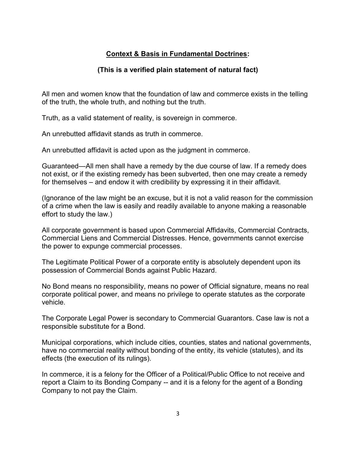### **Context & Basis in Fundamental Doctrines:**

#### **(This is a verified plain statement of natural fact)**

All men and women know that the foundation of law and commerce exists in the telling of the truth, the whole truth, and nothing but the truth.

Truth, as a valid statement of reality, is sovereign in commerce.

An unrebutted affidavit stands as truth in commerce.

An unrebutted affidavit is acted upon as the judgment in commerce.

Guaranteed—All men shall have a remedy by the due course of law. If a remedy does not exist, or if the existing remedy has been subverted, then one may create a remedy for themselves – and endow it with credibility by expressing it in their affidavit.

(Ignorance of the law might be an excuse, but it is not a valid reason for the commission of a crime when the law is easily and readily available to anyone making a reasonable effort to study the law.)

All corporate government is based upon Commercial Affidavits, Commercial Contracts, Commercial Liens and Commercial Distresses. Hence, governments cannot exercise the power to expunge commercial processes.

The Legitimate Political Power of a corporate entity is absolutely dependent upon its possession of Commercial Bonds against Public Hazard.

No Bond means no responsibility, means no power of Official signature, means no real corporate political power, and means no privilege to operate statutes as the corporate vehicle.

The Corporate Legal Power is secondary to Commercial Guarantors. Case law is not a responsible substitute for a Bond.

Municipal corporations, which include cities, counties, states and national governments, have no commercial reality without bonding of the entity, its vehicle (statutes), and its effects (the execution of its rulings).

In commerce, it is a felony for the Officer of a Political/Public Office to not receive and report a Claim to its Bonding Company -- and it is a felony for the agent of a Bonding Company to not pay the Claim.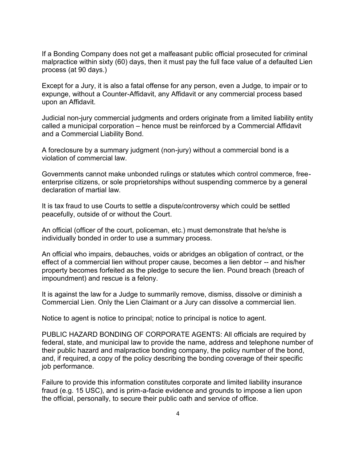If a Bonding Company does not get a malfeasant public official prosecuted for criminal malpractice within sixty (60) days, then it must pay the full face value of a defaulted Lien process (at 90 days.)

Except for a Jury, it is also a fatal offense for any person, even a Judge, to impair or to expunge, without a Counter-Affidavit, any Affidavit or any commercial process based upon an Affidavit.

Judicial non-jury commercial judgments and orders originate from a limited liability entity called a municipal corporation – hence must be reinforced by a Commercial Affidavit and a Commercial Liability Bond.

A foreclosure by a summary judgment (non-jury) without a commercial bond is a violation of commercial law.

Governments cannot make unbonded rulings or statutes which control commerce, freeenterprise citizens, or sole proprietorships without suspending commerce by a general declaration of martial law.

It is tax fraud to use Courts to settle a dispute/controversy which could be settled peacefully, outside of or without the Court.

An official (officer of the court, policeman, etc.) must demonstrate that he/she is individually bonded in order to use a summary process.

An official who impairs, debauches, voids or abridges an obligation of contract, or the effect of a commercial lien without proper cause, becomes a lien debtor -- and his/her property becomes forfeited as the pledge to secure the lien. Pound breach (breach of impoundment) and rescue is a felony.

It is against the law for a Judge to summarily remove, dismiss, dissolve or diminish a Commercial Lien. Only the Lien Claimant or a Jury can dissolve a commercial lien.

Notice to agent is notice to principal; notice to principal is notice to agent.

PUBLIC HAZARD BONDING OF CORPORATE AGENTS: All officials are required by federal, state, and municipal law to provide the name, address and telephone number of their public hazard and malpractice bonding company, the policy number of the bond, and, if required, a copy of the policy describing the bonding coverage of their specific job performance.

Failure to provide this information constitutes corporate and limited liability insurance fraud (e.g. 15 USC), and is prim-a-facie evidence and grounds to impose a lien upon the official, personally, to secure their public oath and service of office.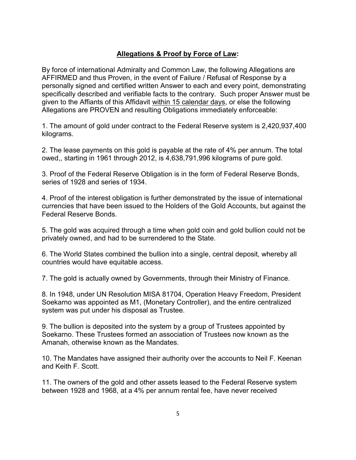## **Allegations & Proof by Force of Law:**

By force of international Admiralty and Common Law, the following Allegations are AFFIRMED and thus Proven, in the event of Failure / Refusal of Response by a personally signed and certified written Answer to each and every point, demonstrating specifically described and verifiable facts to the contrary. Such proper Answer must be given to the Affiants of this Affidavit within 15 calendar days, or else the following Allegations are PROVEN and resulting Obligations immediately enforceable:

1. The amount of gold under contract to the Federal Reserve system is 2,420,937,400 kilograms.

2. The lease payments on this gold is payable at the rate of 4% per annum. The total owed,, starting in 1961 through 2012, is 4,638,791,996 kilograms of pure gold.

3. Proof of the Federal Reserve Obligation is in the form of Federal Reserve Bonds, series of 1928 and series of 1934.

4. Proof of the interest obligation is further demonstrated by the issue of international currencies that have been issued to the Holders of the Gold Accounts, but against the Federal Reserve Bonds.

5. The gold was acquired through a time when gold coin and gold bullion could not be privately owned, and had to be surrendered to the State.

6. The World States combined the bullion into a single, central deposit, whereby all countries would have equitable access.

7. The gold is actually owned by Governments, through their Ministry of Finance.

8. In 1948, under UN Resolution MISA 81704, Operation Heavy Freedom, President Soekarno was appointed as M1, (Monetary Controller), and the entire centralized system was put under his disposal as Trustee.

9. The bullion is deposited into the system by a group of Trustees appointed by Soekarno. These Trustees formed an association of Trustees now known as the Amanah, otherwise known as the Mandates.

10. The Mandates have assigned their authority over the accounts to Neil F. Keenan and Keith F. Scott.

11. The owners of the gold and other assets leased to the Federal Reserve system between 1928 and 1968, at a 4% per annum rental fee, have never received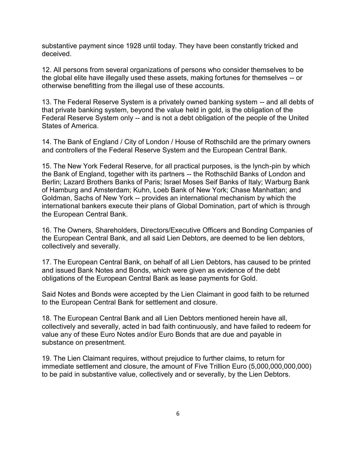substantive payment since 1928 until today. They have been constantly tricked and deceived.

12. All persons from several organizations of persons who consider themselves to be the global elite have illegally used these assets, making fortunes for themselves -- or otherwise benefitting from the illegal use of these accounts.

13. The Federal Reserve System is a privately owned banking system -- and all debts of that private banking system, beyond the value held in gold, is the obligation of the Federal Reserve System only -- and is not a debt obligation of the people of the United States of America.

14. The Bank of England / City of London / House of Rothschild are the primary owners and controllers of the Federal Reserve System and the European Central Bank.

15. The New York Federal Reserve, for all practical purposes, is the lynch-pin by which the Bank of England, together with its partners -- the Rothschild Banks of London and Berlin; Lazard Brothers Banks of Paris; Israel Moses Seif Banks of Italy; Warburg Bank of Hamburg and Amsterdam; Kuhn, Loeb Bank of New York; Chase Manhattan; and Goldman, Sachs of New York -- provides an international mechanism by which the international bankers execute their plans of Global Domination, part of which is through the European Central Bank.

16. The Owners, Shareholders, Directors/Executive Officers and Bonding Companies of the European Central Bank, and all said Lien Debtors, are deemed to be lien debtors, collectively and severally.

17. The European Central Bank, on behalf of all Lien Debtors, has caused to be printed and issued Bank Notes and Bonds, which were given as evidence of the debt obligations of the European Central Bank as lease payments for Gold.

Said Notes and Bonds were accepted by the Lien Claimant in good faith to be returned to the European Central Bank for settlement and closure.

18. The European Central Bank and all Lien Debtors mentioned herein have all, collectively and severally, acted in bad faith continuously, and have failed to redeem for value any of these Euro Notes and/or Euro Bonds that are due and payable in substance on presentment.

19. The Lien Claimant requires, without prejudice to further claims, to return for immediate settlement and closure, the amount of Five Trillion Euro (5,000,000,000,000) to be paid in substantive value, collectively and or severally, by the Lien Debtors.